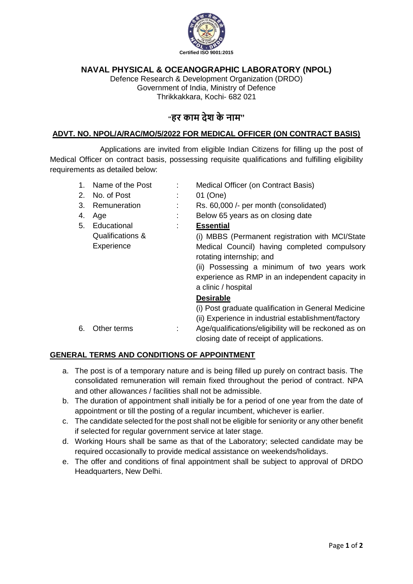

## **NAVAL PHYSICAL & OCEANOGRAPHIC LABORATORY (NPOL)**

Defence Research & Development Organization (DRDO) Government of India, Ministry of Defence Thrikkakkara, Kochi- 682 021

# **"हर काम देश के नाम"**

### **ADVT. NO. NPOL/A/RAC/MO/5/2022 FOR MEDICAL OFFICER (ON CONTRACT BASIS)**

Applications are invited from eligible Indian Citizens for filling up the post of Medical Officer on contract basis, possessing requisite qualifications and fulfilling eligibility requirements as detailed below:

| 1.<br>2.<br>3. | Name of the Post<br>No. of Post<br>Remuneration | Medical Officer (on Contract Basis)<br>01 (One)<br>Rs. 60,000 /- per month (consolidated)                                                                                                                                                            |
|----------------|-------------------------------------------------|------------------------------------------------------------------------------------------------------------------------------------------------------------------------------------------------------------------------------------------------------|
| 4.             | Age                                             | Below 65 years as on closing date                                                                                                                                                                                                                    |
| 5.             | Educational                                     | <b>Essential</b>                                                                                                                                                                                                                                     |
|                | Qualifications &<br>Experience                  | (i) MBBS (Permanent registration with MCI/State<br>Medical Council) having completed compulsory<br>rotating internship; and<br>(ii) Possessing a minimum of two years work<br>experience as RMP in an independent capacity in<br>a clinic / hospital |
|                |                                                 | <b>Desirable</b>                                                                                                                                                                                                                                     |
| 6.             | Other terms                                     | (i) Post graduate qualification in General Medicine<br>(ii) Experience in industrial establishment/factory<br>Age/qualifications/eligibility will be reckoned as on                                                                                  |
|                |                                                 | closing date of receipt of applications.                                                                                                                                                                                                             |

#### **GENERAL TERMS AND CONDITIONS OF APPOINTMENT**

- a. The post is of a temporary nature and is being filled up purely on contract basis. The consolidated remuneration will remain fixed throughout the period of contract. NPA and other allowances / facilities shall not be admissible.
- b. The duration of appointment shall initially be for a period of one year from the date of appointment or till the posting of a regular incumbent, whichever is earlier.
- c. The candidate selected for the post shall not be eligible for seniority or any other benefit if selected for regular government service at later stage.
- d. Working Hours shall be same as that of the Laboratory; selected candidate may be required occasionally to provide medical assistance on weekends/holidays.
- e. The offer and conditions of final appointment shall be subject to approval of DRDO Headquarters, New Delhi.